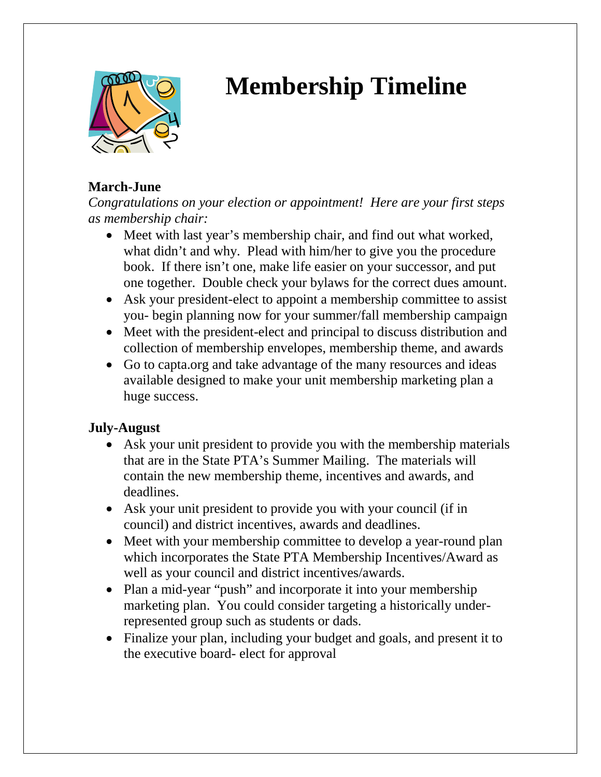

# **Membership Timeline**

# **March-June**

*Congratulations on your election or appointment! Here are your first steps as membership chair:*

- Meet with last year's membership chair, and find out what worked, what didn't and why. Plead with him/her to give you the procedure book. If there isn't one, make life easier on your successor, and put one together. Double check your bylaws for the correct dues amount.
- Ask your president-elect to appoint a membership committee to assist you- begin planning now for your summer/fall membership campaign
- Meet with the president-elect and principal to discuss distribution and collection of membership envelopes, membership theme, and awards
- Go to capta.org and take advantage of the many resources and ideas available designed to make your unit membership marketing plan a huge success.

## **July-August**

- Ask your unit president to provide you with the membership materials that are in the State PTA's Summer Mailing. The materials will contain the new membership theme, incentives and awards, and deadlines.
- Ask your unit president to provide you with your council (if in council) and district incentives, awards and deadlines.
- Meet with your membership committee to develop a year-round plan which incorporates the State PTA Membership Incentives/Award as well as your council and district incentives/awards.
- Plan a mid-year "push" and incorporate it into your membership marketing plan. You could consider targeting a historically underrepresented group such as students or dads.
- Finalize your plan, including your budget and goals, and present it to the executive board- elect for approval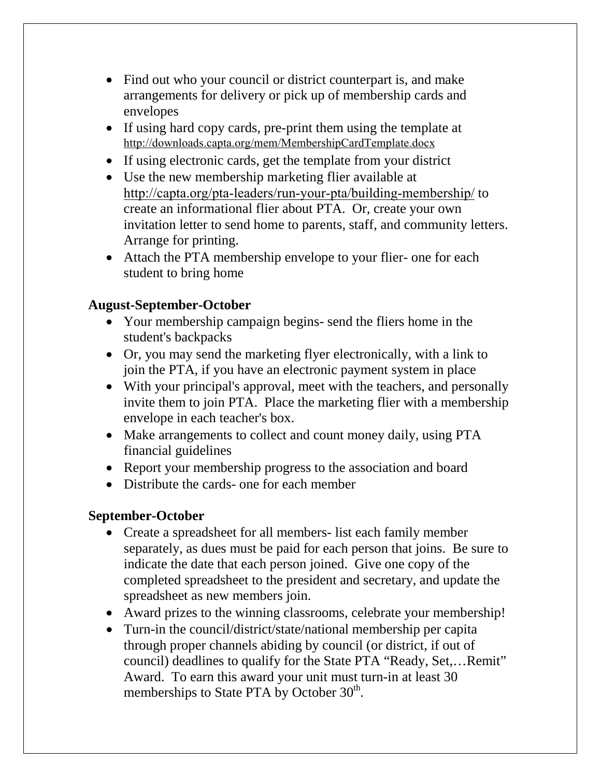- Find out who your council or district counterpart is, and make arrangements for delivery or pick up of membership cards and envelopes
- If using hard copy cards, pre-print them using the template at http://downloads.capta.org/mem/MembershipCardTemplate.docx
- If using electronic cards, get the template from your district
- Use the new membership marketing flier available at http://capta.org/pta-leaders/run-your-pta/building-membership/ to create an informational flier about PTA. Or, create your own invitation letter to send home to parents, staff, and community letters. Arrange for printing.
- Attach the PTA membership envelope to your flier- one for each student to bring home

### **August-September-October**

- Your membership campaign begins- send the fliers home in the student's backpacks
- Or, you may send the marketing flyer electronically, with a link to join the PTA, if you have an electronic payment system in place
- With your principal's approval, meet with the teachers, and personally invite them to join PTA. Place the marketing flier with a membership envelope in each teacher's box.
- Make arrangements to collect and count money daily, using PTA financial guidelines
- Report your membership progress to the association and board
- Distribute the cards- one for each member

#### **September-October**

- Create a spreadsheet for all members- list each family member separately, as dues must be paid for each person that joins. Be sure to indicate the date that each person joined. Give one copy of the completed spreadsheet to the president and secretary, and update the spreadsheet as new members join.
- Award prizes to the winning classrooms, celebrate your membership!
- Turn-in the council/district/state/national membership per capita through proper channels abiding by council (or district, if out of council) deadlines to qualify for the State PTA "Ready, Set,…Remit" Award. To earn this award your unit must turn-in at least 30 memberships to State PTA by October 30<sup>th</sup>.